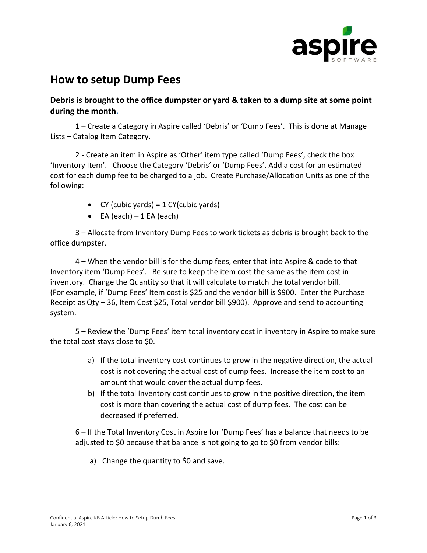

## **How to setup Dump Fees**

**Debris is brought to the office dumpster or yard & taken to a dump site at some point during the month.**

1 – Create a Category in Aspire called 'Debris' or 'Dump Fees'. This is done at Manage Lists – Catalog Item Category.

2 - Create an item in Aspire as 'Other' item type called 'Dump Fees', check the box 'Inventory Item'. Choose the Category 'Debris' or 'Dump Fees'. Add a cost for an estimated cost for each dump fee to be charged to a job. Create Purchase/Allocation Units as one of the following:

- CY (cubic yards) =  $1$  CY(cubic yards)
- $\bullet$  EA (each) 1 EA (each)

3 – Allocate from Inventory Dump Fees to work tickets as debris is brought back to the office dumpster.

4 – When the vendor bill is for the dump fees, enter that into Aspire & code to that Inventory item 'Dump Fees'. Be sure to keep the item cost the same as the item cost in inventory. Change the Quantity so that it will calculate to match the total vendor bill. (For example, if 'Dump Fees' Item cost is \$25 and the vendor bill is \$900. Enter the Purchase Receipt as Qty – 36, Item Cost \$25, Total vendor bill \$900). Approve and send to accounting system.

5 – Review the 'Dump Fees' item total inventory cost in inventory in Aspire to make sure the total cost stays close to \$0.

- a) If the total inventory cost continues to grow in the negative direction, the actual cost is not covering the actual cost of dump fees. Increase the item cost to an amount that would cover the actual dump fees.
- b) If the total Inventory cost continues to grow in the positive direction, the item cost is more than covering the actual cost of dump fees. The cost can be decreased if preferred.

6 – If the Total Inventory Cost in Aspire for 'Dump Fees' has a balance that needs to be adjusted to \$0 because that balance is not going to go to \$0 from vendor bills:

a) Change the quantity to \$0 and save.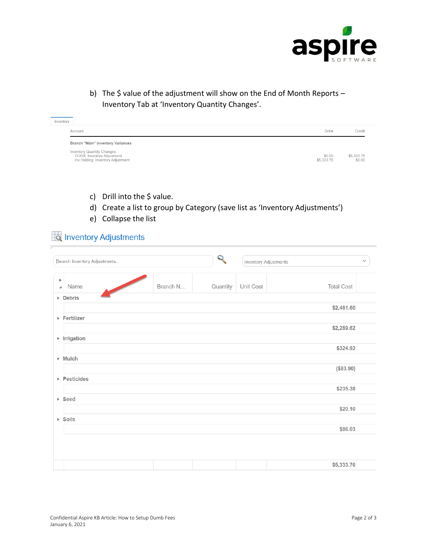

b) The \$ value of the adjustment will show on the End of Month Reports -Inventory Tab at 'Inventory Quantity Changes'.

| Inventory |                                                                                               |                      |                      |
|-----------|-----------------------------------------------------------------------------------------------|----------------------|----------------------|
|           | Account                                                                                       | Debit                | Credit               |
|           | Branch "Main" Inventory Variances                                                             |                      |                      |
|           | Inventory Quantity Changes<br>COGS: Inventory Adjustment<br>Inv Holding: Inventory Adjustment | \$0.00<br>\$5,333.76 | \$5,333.76<br>\$0.00 |

- c) Drill into the \$ value.
- d) Create a list to group by Category (save list as 'Inventory Adjustments')
- e) Collapse the list

## Inventory Adjustments

| Search Inventory Adjustments              |          | $\mathcal{L}$ | Inventory Adjustments |                   | $\checkmark$ |
|-------------------------------------------|----------|---------------|-----------------------|-------------------|--------------|
| $\blacktriangleright$<br>Name<br>$\Delta$ | Branch N | Quantity      | Unit Cost             | <b>Total Cost</b> |              |
| $\triangleright$ Debris                   |          |               |                       |                   |              |
|                                           |          |               |                       | \$2,461.60        |              |
| ▶ Fertilizer                              |          |               |                       |                   |              |
|                                           |          |               |                       | \$2,289.62        |              |
| $\triangleright$ Irrigation               |          |               |                       |                   |              |
|                                           |          |               |                       | \$324.92          |              |
| $\triangleright$ Mulch                    |          |               |                       |                   |              |
|                                           |          |               |                       | (\$83.90)         |              |
| $\triangleright$ Pesticides               |          |               |                       |                   |              |
|                                           |          |               |                       | \$235.38          |              |
| $\triangleright$ Seed                     |          |               |                       |                   |              |
|                                           |          |               |                       | \$20.10           |              |
| $\triangleright$ Soils                    |          |               |                       |                   |              |
|                                           |          |               |                       | \$86.03           |              |
|                                           |          |               |                       |                   |              |
|                                           |          |               |                       |                   |              |
|                                           |          |               |                       | \$5,333.76        |              |
|                                           |          |               |                       |                   |              |